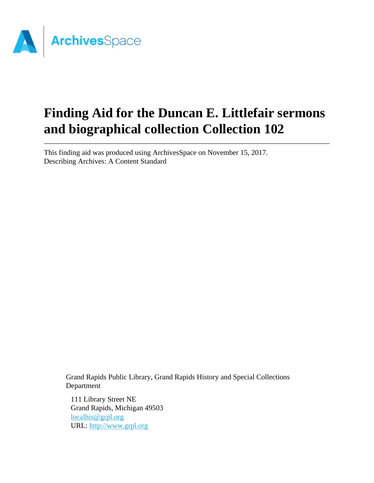

# **Finding Aid for the Duncan E. Littlefair sermons and biographical collection Collection 102**

This finding aid was produced using ArchivesSpace on November 15, 2017. Describing Archives: A Content Standard

Grand Rapids Public Library, Grand Rapids History and Special Collections Department

111 Library Street NE Grand Rapids, Michigan 49503 [localhis@grpl.org](mailto:localhis@grpl.org) URL:<http://www.grpl.org>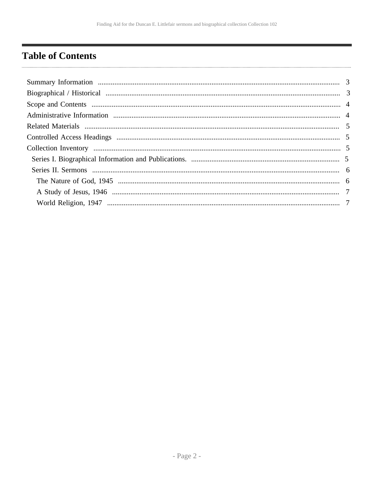# <span id="page-1-0"></span>**Table of Contents**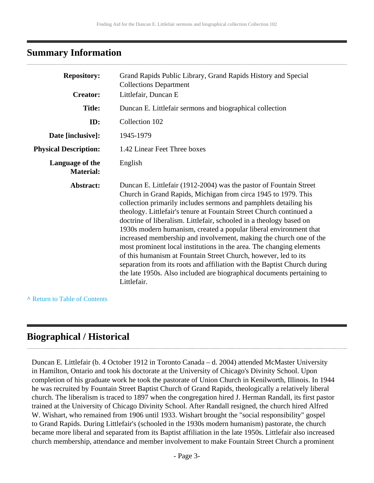### <span id="page-2-0"></span>**Summary Information**

| <b>Repository:</b>                  | Grand Rapids Public Library, Grand Rapids History and Special<br><b>Collections Department</b>                                                                                                                                                                                                                                                                                                                                                                                                                                                                                                                                                                                                                                                                                                                     |
|-------------------------------------|--------------------------------------------------------------------------------------------------------------------------------------------------------------------------------------------------------------------------------------------------------------------------------------------------------------------------------------------------------------------------------------------------------------------------------------------------------------------------------------------------------------------------------------------------------------------------------------------------------------------------------------------------------------------------------------------------------------------------------------------------------------------------------------------------------------------|
| <b>Creator:</b>                     | Littlefair, Duncan E                                                                                                                                                                                                                                                                                                                                                                                                                                                                                                                                                                                                                                                                                                                                                                                               |
| <b>Title:</b>                       | Duncan E. Littlefair sermons and biographical collection                                                                                                                                                                                                                                                                                                                                                                                                                                                                                                                                                                                                                                                                                                                                                           |
| ID:                                 | Collection 102                                                                                                                                                                                                                                                                                                                                                                                                                                                                                                                                                                                                                                                                                                                                                                                                     |
| Date [inclusive]:                   | 1945-1979                                                                                                                                                                                                                                                                                                                                                                                                                                                                                                                                                                                                                                                                                                                                                                                                          |
| <b>Physical Description:</b>        | 1.42 Linear Feet Three boxes                                                                                                                                                                                                                                                                                                                                                                                                                                                                                                                                                                                                                                                                                                                                                                                       |
| Language of the<br><b>Material:</b> | English                                                                                                                                                                                                                                                                                                                                                                                                                                                                                                                                                                                                                                                                                                                                                                                                            |
| Abstract:                           | Duncan E. Littlefair (1912-2004) was the pastor of Fountain Street<br>Church in Grand Rapids, Michigan from circa 1945 to 1979. This<br>collection primarily includes sermons and pamphlets detailing his<br>theology. Littlefair's tenure at Fountain Street Church continued a<br>doctrine of liberalism. Littlefair, schooled in a theology based on<br>1930s modern humanism, created a popular liberal environment that<br>increased membership and involvement, making the church one of the<br>most prominent local institutions in the area. The changing elements<br>of this humanism at Fountain Street Church, however, led to its<br>separation from its roots and affiliation with the Baptist Church during<br>the late 1950s. Also included are biographical documents pertaining to<br>Littlefair. |

**^** [Return to Table of Contents](#page-1-0)

### <span id="page-2-1"></span>**Biographical / Historical**

Duncan E. Littlefair (b. 4 October 1912 in Toronto Canada – d. 2004) attended McMaster University in Hamilton, Ontario and took his doctorate at the University of Chicago's Divinity School. Upon completion of his graduate work he took the pastorate of Union Church in Kenilworth, Illinois. In 1944 he was recruited by Fountain Street Baptist Church of Grand Rapids, theologically a relatively liberal church. The liberalism is traced to 1897 when the congregation hired J. Herman Randall, its first pastor trained at the University of Chicago Divinity School. After Randall resigned, the church hired Alfred W. Wishart, who remained from 1906 until 1933. Wishart brought the "social responsibility" gospel to Grand Rapids. During Littlefair's (schooled in the 1930s modern humanism) pastorate, the church became more liberal and separated from its Baptist affiliation in the late 1950s. Littlefair also increased church membership, attendance and member involvement to make Fountain Street Church a prominent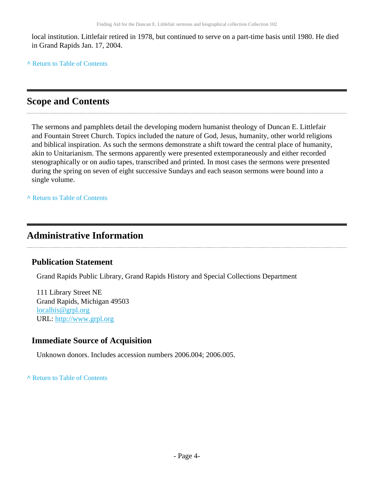local institution. Littlefair retired in 1978, but continued to serve on a part-time basis until 1980. He died in Grand Rapids Jan. 17, 2004.

**^** [Return to Table of Contents](#page-1-0)

### <span id="page-3-0"></span>**Scope and Contents**

The sermons and pamphlets detail the developing modern humanist theology of Duncan E. Littlefair and Fountain Street Church. Topics included the nature of God, Jesus, humanity, other world religions and biblical inspiration. As such the sermons demonstrate a shift toward the central place of humanity, akin to Unitarianism. The sermons apparently were presented extemporaneously and either recorded stenographically or on audio tapes, transcribed and printed. In most cases the sermons were presented during the spring on seven of eight successive Sundays and each season sermons were bound into a single volume.

**^** [Return to Table of Contents](#page-1-0)

### <span id="page-3-1"></span>**Administrative Information**

#### **Publication Statement**

Grand Rapids Public Library, Grand Rapids History and Special Collections Department

111 Library Street NE Grand Rapids, Michigan 49503 [localhis@grpl.org](mailto:localhis@grpl.org) URL:<http://www.grpl.org>

#### **Immediate Source of Acquisition**

Unknown donors. Includes accession numbers 2006.004; 2006.005.

**^** [Return to Table of Contents](#page-1-0)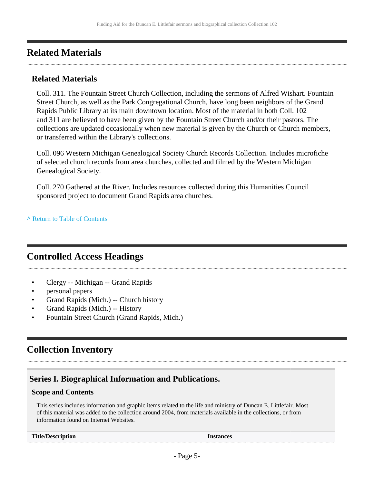### <span id="page-4-0"></span>**Related Materials**

#### **Related Materials**

Coll. 311. The Fountain Street Church Collection, including the sermons of Alfred Wishart. Fountain Street Church, as well as the Park Congregational Church, have long been neighbors of the Grand Rapids Public Library at its main downtown location. Most of the material in both Coll. 102 and 311 are believed to have been given by the Fountain Street Church and/or their pastors. The collections are updated occasionally when new material is given by the Church or Church members, or transferred within the Library's collections.

Coll. 096 Western Michigan Genealogical Society Church Records Collection. Includes microfiche of selected church records from area churches, collected and filmed by the Western Michigan Genealogical Society.

Coll. 270 Gathered at the River. Includes resources collected during this Humanities Council sponsored project to document Grand Rapids area churches.

**^** [Return to Table of Contents](#page-1-0)

### <span id="page-4-1"></span>**Controlled Access Headings**

- Clergy -- Michigan -- Grand Rapids
- personal papers
- Grand Rapids (Mich.) -- Church history
- Grand Rapids (Mich.) -- History
- Fountain Street Church (Grand Rapids, Mich.)

## <span id="page-4-2"></span>**Collection Inventory**

#### <span id="page-4-3"></span>**Series I. Biographical Information and Publications.**

#### **Scope and Contents**

This series includes information and graphic items related to the life and ministry of Duncan E. Littlefair. Most of this material was added to the collection around 2004, from materials available in the collections, or from information found on Internet Websites.

| <b>Title/Description</b> | <b>Instances</b> |
|--------------------------|------------------|
|--------------------------|------------------|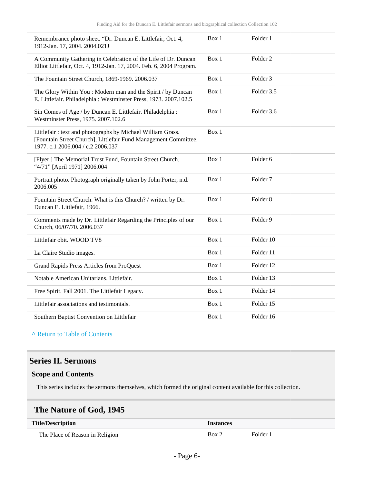| Remembrance photo sheet. "Dr. Duncan E. Littlefair, Oct. 4,<br>1912-Jan. 17, 2004. 2004.021J                                                                        | Box 1 | Folder 1            |
|---------------------------------------------------------------------------------------------------------------------------------------------------------------------|-------|---------------------|
| A Community Gathering in Celebration of the Life of Dr. Duncan<br>Elliot Littlefair, Oct. 4, 1912-Jan. 17, 2004. Feb. 6, 2004 Program.                              | Box 1 | Folder <sub>2</sub> |
| The Fountain Street Church, 1869-1969. 2006.037                                                                                                                     | Box 1 | Folder <sub>3</sub> |
| The Glory Within You : Modern man and the Spirit / by Duncan<br>E. Littlefair. Philadelphia: Westminster Press, 1973. 2007.102.5                                    | Box 1 | Folder 3.5          |
| Sin Comes of Age / by Duncan E. Littlefair. Philadelphia:<br>Westminster Press, 1975. 2007.102.6                                                                    | Box 1 | Folder 3.6          |
| Littlefair : text and photographs by Michael William Grass.<br>[Fountain Street Church], Littlefair Fund Management Committee,<br>1977. c.1 2006.004 / c.2 2006.037 | Box 1 |                     |
| [Flyer.] The Memorial Trust Fund, Fountain Street Church.<br>"4/71" [April 1971] 2006.004                                                                           | Box 1 | Folder 6            |
| Portrait photo. Photograph originally taken by John Porter, n.d.<br>2006.005                                                                                        | Box 1 | Folder <sub>7</sub> |
| Fountain Street Church. What is this Church? / written by Dr.<br>Duncan E. Littlefair, 1966.                                                                        | Box 1 | Folder <sub>8</sub> |
| Comments made by Dr. Littlefair Regarding the Principles of our<br>Church, 06/07/70. 2006.037                                                                       | Box 1 | Folder 9            |
| Littlefair obit. WOOD TV8                                                                                                                                           | Box 1 | Folder 10           |
| La Claire Studio images.                                                                                                                                            | Box 1 | Folder 11           |
| Grand Rapids Press Articles from ProQuest                                                                                                                           | Box 1 | Folder 12           |
| Notable American Unitarians. Littlefair.                                                                                                                            | Box 1 | Folder 13           |
| Free Spirit. Fall 2001. The Littlefair Legacy.                                                                                                                      | Box 1 | Folder 14           |
| Littlefair associations and testimonials.                                                                                                                           | Box 1 | Folder 15           |
| Southern Baptist Convention on Littlefair                                                                                                                           | Box 1 | Folder 16           |

#### **^** [Return to Table of Contents](#page-1-0)

#### <span id="page-5-0"></span>**Series II. Sermons**

#### **Scope and Contents**

This series includes the sermons themselves, which formed the original content available for this collection.

### <span id="page-5-1"></span>**The Nature of God, 1945**

| <b>Title/Description</b>        | Instances |          |
|---------------------------------|-----------|----------|
| The Place of Reason in Religion | Box 2     | Folder 1 |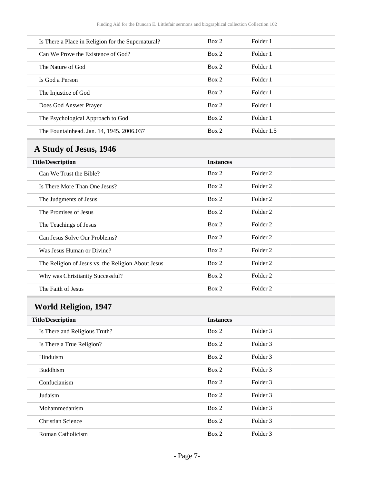| Is There a Place in Religion for the Supernatural? | Box 2 | Folder 1   |
|----------------------------------------------------|-------|------------|
| Can We Prove the Existence of God?                 | Box 2 | Folder 1   |
| The Nature of God                                  | Box 2 | Folder 1   |
| Is God a Person                                    | Box 2 | Folder 1   |
| The Injustice of God                               | Box 2 | Folder 1   |
| Does God Answer Prayer                             | Box 2 | Folder 1   |
| The Psychological Approach to God                  | Box 2 | Folder 1   |
| The Fountainhead. Jan. 14, 1945. 2006.037          | Box 2 | Folder 1.5 |
|                                                    |       |            |

# <span id="page-6-0"></span>**A Study of Jesus, 1946**

| <b>Title/Description</b>                           | <b>Instances</b> |                     |
|----------------------------------------------------|------------------|---------------------|
| Can We Trust the Bible?                            | Box 2            | Folder <sub>2</sub> |
| Is There More Than One Jesus?                      | Box 2            | Folder <sub>2</sub> |
| The Judgments of Jesus                             | Box 2            | Folder 2            |
| The Promises of Jesus                              | Box 2            | Folder 2            |
| The Teachings of Jesus                             | Box 2            | Folder 2            |
| Can Jesus Solve Our Problems?                      | Box 2            | Folder 2            |
| Was Jesus Human or Divine?                         | Box 2            | Folder <sub>2</sub> |
| The Religion of Jesus vs. the Religion About Jesus | Box 2            | Folder 2            |
| Why was Christianity Successful?                   | Box 2            | Folder 2            |
| The Faith of Jesus                                 | Box 2            | Folder 2            |
|                                                    |                  |                     |

# <span id="page-6-1"></span>**World Religion, 1947**

| <b>Instances</b> |          |  |
|------------------|----------|--|
| Box 2            | Folder 3 |  |
| Box 2            | Folder 3 |  |
| Box 2            | Folder 3 |  |
| Box 2            | Folder 3 |  |
| Box 2            | Folder 3 |  |
| Box 2            | Folder 3 |  |
| Box 2            | Folder 3 |  |
| Box 2            | Folder 3 |  |
| Box 2            | Folder 3 |  |
|                  |          |  |